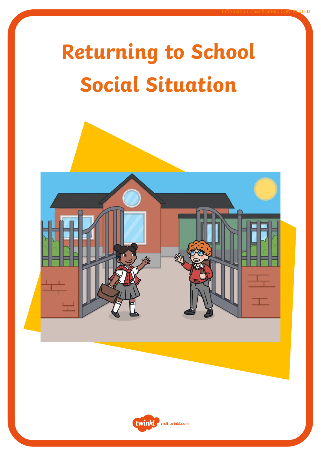## **Returning to School Social Situation**



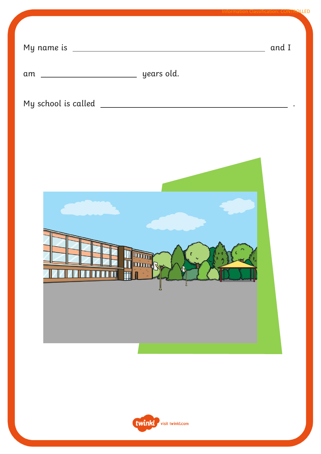|                                                | <b>Information Classification: CONTROLLED</b> |
|------------------------------------------------|-----------------------------------------------|
|                                                | and I                                         |
|                                                |                                               |
|                                                |                                               |
| <b>DOODOO</b><br><b>THE REAL PROPERTY</b><br>Щ |                                               |
| twinkl<br>visit twinkl.com                     |                                               |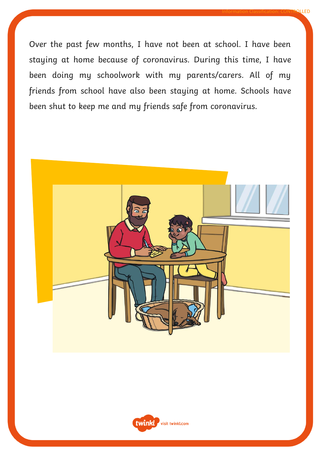Over the past few months, I have not been at school. I have been staying at home because of coronavirus. During this time, I have been doing my schoolwork with my parents/carers. All of my friends from school have also been staying at home. Schools have been shut to keep me and my friends safe from coronavirus.

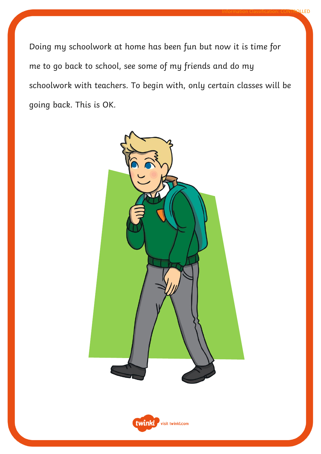Doing my schoolwork at home has been fun but now it is time for me to go back to school, see some of my friends and do my schoolwork with teachers. To begin with, only certain classes will be going back. This is OK.



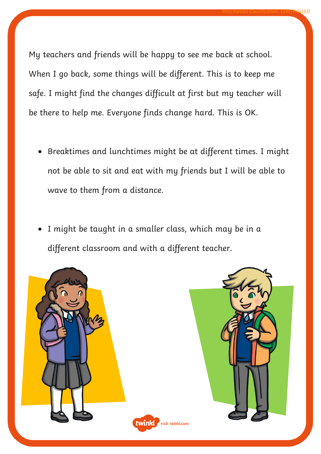My teachers and friends will be happy to see me back at school. When I go back, some things will be different. This is to keep me safe. I might find the changes difficult at first but my teacher will be there to help me. Everyone finds change hard. This is OK.

Information Classification: CONTROLLED

- Breaktimes and lunchtimes might be at different times. I might not be able to sit and eat with my friends but I will be able to wave to them from a distance.
- I might be taught in a smaller class, which may be in a different classroom and with a different teacher.

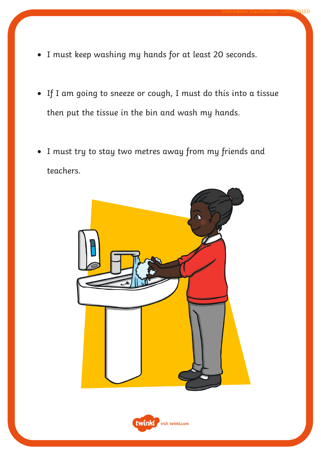- I must keep washing my hands for at least 20 seconds.
- If I am going to sneeze or cough, I must do this into a tissue then put the tissue in the bin and wash my hands.
- I must try to stay two metres away from my friends and teachers.